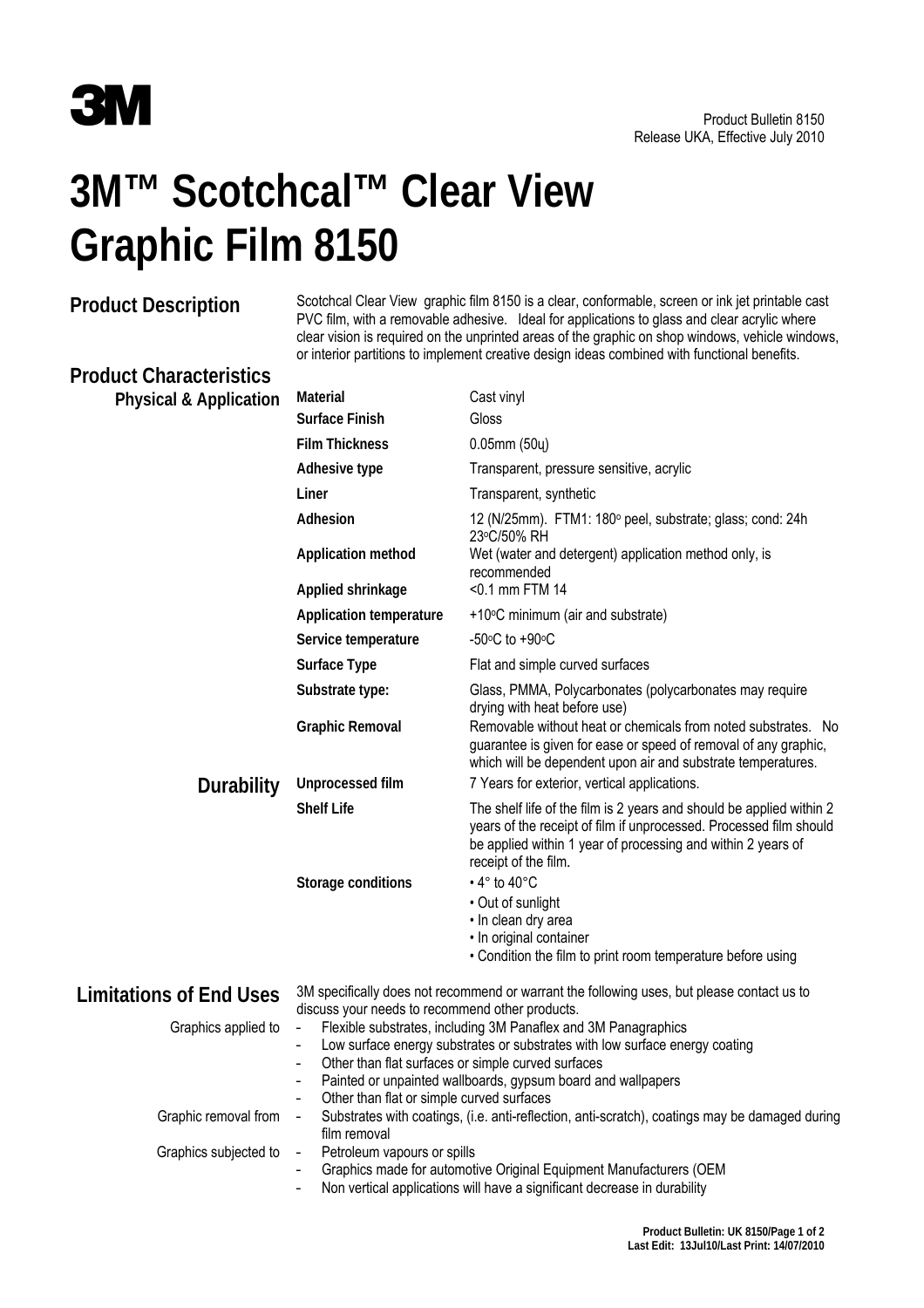

## **3M™ Scotchcal™ Clear View Graphic Film 8150**

**Product Description** Scotchcal Clear View graphic film 8150 is a clear, conformable, screen or ink jet printable cast PVC film, with a removable adhesive. Ideal for applications to glass and clear acrylic where clear vision is required on the unprinted areas of the graphic on shop windows, vehicle windows, or interior partitions to implement creative design ideas combined with functional benefits.

## **Product Characteristics**

| <b>Physical &amp; Application</b> | Material                                                                                                                                      | Cast vinyl                                                                                                                                                                                                                         |  |
|-----------------------------------|-----------------------------------------------------------------------------------------------------------------------------------------------|------------------------------------------------------------------------------------------------------------------------------------------------------------------------------------------------------------------------------------|--|
|                                   | <b>Surface Finish</b>                                                                                                                         | Gloss                                                                                                                                                                                                                              |  |
|                                   | <b>Film Thickness</b>                                                                                                                         | $0.05$ mm $(50)$                                                                                                                                                                                                                   |  |
|                                   | Adhesive type                                                                                                                                 | Transparent, pressure sensitive, acrylic                                                                                                                                                                                           |  |
|                                   | Liner                                                                                                                                         | Transparent, synthetic                                                                                                                                                                                                             |  |
|                                   | Adhesion                                                                                                                                      | 12 (N/25mm). FTM1: 180° peel, substrate; glass; cond: 24h                                                                                                                                                                          |  |
|                                   | <b>Application method</b>                                                                                                                     | 23°C/50% RH<br>Wet (water and detergent) application method only, is<br>recommended                                                                                                                                                |  |
|                                   | Applied shrinkage                                                                                                                             | <0.1 mm FTM 14                                                                                                                                                                                                                     |  |
|                                   | <b>Application temperature</b>                                                                                                                | +10°C minimum (air and substrate)                                                                                                                                                                                                  |  |
|                                   | Service temperature                                                                                                                           | -50 $\degree$ C to +90 $\degree$ C                                                                                                                                                                                                 |  |
|                                   | Surface Type                                                                                                                                  | Flat and simple curved surfaces                                                                                                                                                                                                    |  |
|                                   | Substrate type:                                                                                                                               | Glass, PMMA, Polycarbonates (polycarbonates may require<br>drying with heat before use)                                                                                                                                            |  |
|                                   | <b>Graphic Removal</b>                                                                                                                        | Removable without heat or chemicals from noted substrates. No<br>guarantee is given for ease or speed of removal of any graphic,<br>which will be dependent upon air and substrate temperatures.                                   |  |
| <b>Durability</b>                 | <b>Unprocessed film</b>                                                                                                                       | 7 Years for exterior, vertical applications.                                                                                                                                                                                       |  |
|                                   | <b>Shelf Life</b>                                                                                                                             | The shelf life of the film is 2 years and should be applied within 2<br>years of the receipt of film if unprocessed. Processed film should<br>be applied within 1 year of processing and within 2 years of<br>receipt of the film. |  |
|                                   | Storage conditions                                                                                                                            | $\cdot$ 4 $\degree$ to 40 $\degree$ C                                                                                                                                                                                              |  |
|                                   |                                                                                                                                               | • Out of sunlight                                                                                                                                                                                                                  |  |
|                                   |                                                                                                                                               | · In clean dry area<br>• In original container                                                                                                                                                                                     |  |
|                                   |                                                                                                                                               | • Condition the film to print room temperature before using                                                                                                                                                                        |  |
| <b>Limitations of End Uses</b>    | 3M specifically does not recommend or warrant the following uses, but please contact us to<br>discuss your needs to recommend other products. |                                                                                                                                                                                                                                    |  |
| Graphics applied to               | Flexible substrates, including 3M Panaflex and 3M Panagraphics<br>$\qquad \qquad -$                                                           |                                                                                                                                                                                                                                    |  |
|                                   | Low surface energy substrates or substrates with low surface energy coating<br>Other than flat surfaces or simple curved surfaces             |                                                                                                                                                                                                                                    |  |
|                                   | Painted or unpainted wallboards, gypsum board and wallpapers                                                                                  |                                                                                                                                                                                                                                    |  |
|                                   | Other than flat or simple curved surfaces<br>$\overline{\phantom{0}}$                                                                         |                                                                                                                                                                                                                                    |  |
|                                   |                                                                                                                                               | Substrates with coatings, (i.e. anti-reflection, anti-scratch), coatings may be damaged during<br>$\overline{\phantom{0}}$                                                                                                         |  |
| Graphic removal from              |                                                                                                                                               |                                                                                                                                                                                                                                    |  |
| Graphics subjected to             | film removal<br>Petroleum vapours or spills<br>$\qquad \qquad -$                                                                              |                                                                                                                                                                                                                                    |  |
|                                   | $\overline{\phantom{0}}$                                                                                                                      | Graphics made for automotive Original Equipment Manufacturers (OEM<br>Non vertical applications will have a significant decrease in durability                                                                                     |  |